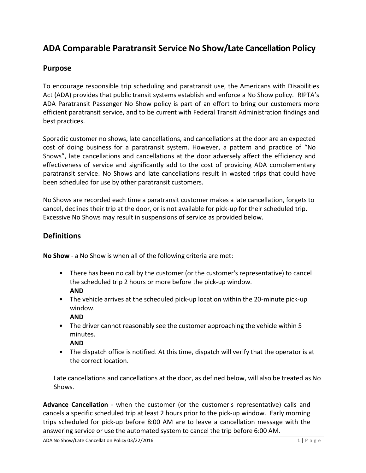# **ADA Comparable Paratransit Service No Show/Late Cancellation Policy**

### **Purpose**

To encourage responsible trip scheduling and paratransit use, the Americans with Disabilities Act (ADA) provides that public transit systems establish and enforce a No Show policy. RIPTA's ADA Paratransit Passenger No Show policy is part of an effort to bring our customers more efficient paratransit service, and to be current with Federal Transit Administration findings and best practices.

Sporadic customer no shows, late cancellations, and cancellations at the door are an expected cost of doing business for a paratransit system. However, a pattern and practice of "No Shows", late cancellations and cancellations at the door adversely affect the efficiency and effectiveness of service and significantly add to the cost of providing ADA complementary paratransit service. No Shows and late cancellations result in wasted trips that could have been scheduled for use by other paratransit customers.

No Shows are recorded each time a paratransit customer makes a late cancellation, forgets to cancel, declines their trip at the door, or is not available for pick-up for their scheduled trip. Excessive No Shows may result in suspensions of service as provided below.

## **Definitions**

**No Show** - a No Show is when all of the following criteria are met:

- There has been no call by the customer (or the customer's representative) to cancel the scheduled trip 2 hours or more before the pick-up window. **AND**
- The vehicle arrives at the scheduled pick-up location within the 20-minute pick-up window.
	- **AND**
- The driver cannot reasonably see the customer approaching the vehicle within 5 minutes.

#### **AND**

• The dispatch office is notified. At this time, dispatch will verify that the operator is at the correct location.

Late cancellations and cancellations at the door, as defined below, will also be treated as No Shows.

**Advance Cancellation** - when the customer (or the customer's representative) calls and cancels a specific scheduled trip at least 2 hours prior to the pick-up window. Early morning trips scheduled for pick-up before 8:00 AM are to leave a cancellation message with the answering service or use the automated system to cancel the trip before 6:00 AM.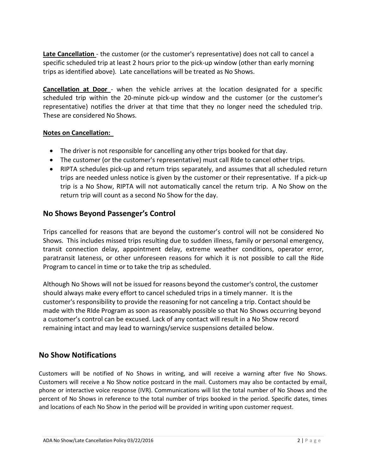**Late Cancellation** - the customer (or the customer's representative) does not call to cancel a specific scheduled trip at least 2 hours prior to the pick-up window (other than early morning trips as identified above). Late cancellations will be treated as No Shows.

**Cancellation at Door** - when the vehicle arrives at the location designated for a specific scheduled trip within the 20-minute pick-up window and the customer (or the customer's representative) notifies the driver at that time that they no longer need the scheduled trip. These are considered No Shows.

#### **Notes on Cancellation:**

- The driver is not responsible for cancelling any other trips booked for that day.
- The customer (or the customer's representative) must call RIde to cancel other trips.
- RIPTA schedules pick-up and return trips separately, and assumes that all scheduled return trips are needed unless notice is given by the customer or their representative. If a pick-up trip is a No Show, RIPTA will not automatically cancel the return trip. A No Show on the return trip will count as a second No Show for the day.

### **No Shows Beyond Passenger's Control**

Trips cancelled for reasons that are beyond the customer's control will not be considered No Shows. This includes missed trips resulting due to sudden illness, family or personal emergency, transit connection delay, appointment delay, extreme weather conditions, operator error, paratransit lateness, or other unforeseen reasons for which it is not possible to call the Ride Program to cancel in time or to take the trip as scheduled.

Although No Shows will not be issued for reasons beyond the customer's control, the customer should always make every effort to cancel scheduled trips in a timely manner. It is the customer's responsibility to provide the reasoning for not canceling a trip. Contact should be made with the RIde Program as soon as reasonably possible so that No Shows occurring beyond a customer's control can be excused. Lack of any contact will result in a No Show record remaining intact and may lead to warnings/service suspensions detailed below.

### **No Show Notifications**

Customers will be notified of No Shows in writing, and will receive a warning after five No Shows. Customers will receive a No Show notice postcard in the mail. Customers may also be contacted by email, phone or interactive voice response (IVR). Communications will list the total number of No Shows and the percent of No Shows in reference to the total number of trips booked in the period. Specific dates, times and locations of each No Show in the period will be provided in writing upon customer request.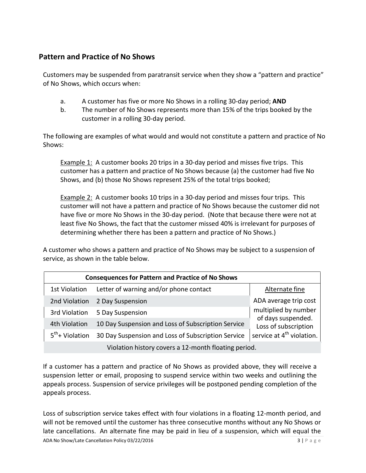# **Pattern and Practice of No Shows**

Customers may be suspended from paratransit service when they show a "pattern and practice" of No Shows, which occurs when:

- a. A customer has five or more No Shows in a rolling 30-day period; **AND**
- b. The number of No Shows represents more than 15% of the trips booked by the customer in a rolling 30-day period.

The following are examples of what would and would not constitute a pattern and practice of No Shows:

Example 1: A customer books 20 trips in a 30-day period and misses five trips. This customer has a pattern and practice of No Shows because (a) the customer had five No Shows, and (b) those No Shows represent 25% of the total trips booked;

Example 2: A customer books 10 trips in a 30-day period and misses four trips. This customer will not have a pattern and practice of No Shows because the customer did not have five or more No Shows in the 30-day period. (Note that because there were not at least five No Shows, the fact that the customer missed 40% is irrelevant for purposes of determining whether there has been a pattern and practice of No Shows.)

A customer who shows a pattern and practice of No Shows may be subject to a suspension of service, as shown in the table below.

| <b>Consequences for Pattern and Practice of No Shows</b> |                                                    |                                                                                                             |
|----------------------------------------------------------|----------------------------------------------------|-------------------------------------------------------------------------------------------------------------|
| <b>1st Violation</b>                                     | Letter of warning and/or phone contact             | Alternate fine                                                                                              |
| 2nd Violation                                            | 2 Day Suspension                                   | ADA average trip cost                                                                                       |
| 3rd Violation                                            | 5 Day Suspension                                   | multiplied by number<br>of days suspended.<br>Loss of subscription<br>service at 4 <sup>th</sup> violation. |
| 4th Violation                                            | 10 Day Suspension and Loss of Subscription Service |                                                                                                             |
| $5^{th}$ + Violation                                     | 30 Day Suspension and Loss of Subscription Service |                                                                                                             |
| Violation history covers a 12-month floating period.     |                                                    |                                                                                                             |

If a customer has a pattern and practice of No Shows as provided above, they will receive a suspension letter or email, proposing to suspend service within two weeks and outlining the appeals process. Suspension of service privileges will be postponed pending completion of the appeals process.

Loss of subscription service takes effect with four violations in a floating 12-month period, and will not be removed until the customer has three consecutive months without any No Shows or late cancellations. An alternate fine may be paid in lieu of a suspension, which will equal the